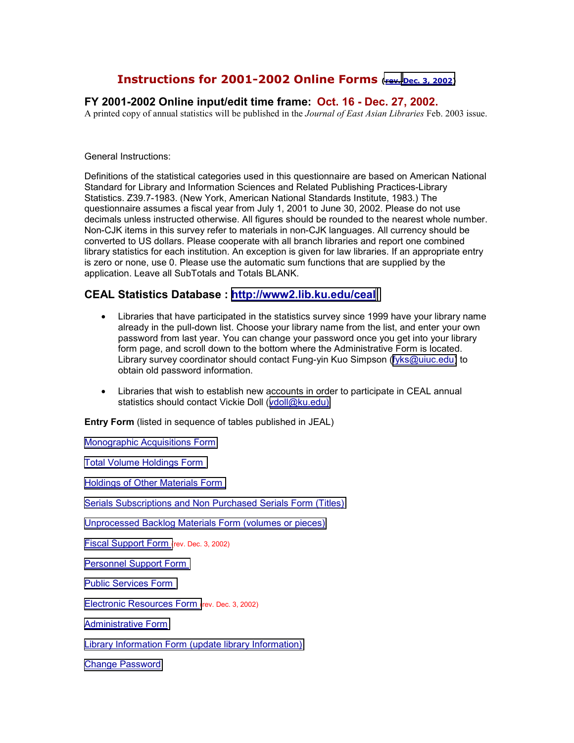# **Instructions for 2001-2002 Online Forms (rev. [Dec. 3, 2002\)](http://www2.lib.ukans.edu/ceal/stat/20012002/2002rev.htm)**

## **FY 2001-2002 Online input/edit time frame: Oct. 16 - Dec. 27, 2002.**

A printed copy of annual statistics will be published in the *Journal of East Asian Libraries* Feb. 2003 issue.

General Instructions:

Definitions of the statistical categories used in this questionnaire are based on American National Standard for Library and Information Sciences and Related Publishing Practices-Library Statistics. Z39.7-1983. (New York, American National Standards Institute, 1983.) The questionnaire assumes a fiscal year from July 1, 2001 to June 30, 2002. Please do not use decimals unless instructed otherwise. All figures should be rounded to the nearest whole number. Non-CJK items in this survey refer to materials in non-CJK languages. All currency should be converted to US dollars. Please cooperate with all branch libraries and report one combined library statistics for each institution. An exception is given for law libraries. If an appropriate entry is zero or none, use 0. Please use the automatic sum functions that are supplied by the application. Leave all SubTotals and Totals BLANK.

## **CEAL Statistics Database : http://www2.lib.ku.edu/ceal**

- Libraries that have participated in the statistics survey since 1999 have your library name already in the pull-down list. Choose your library name from the list, and enter your own password from last year. You can change your password once you get into your library form page, and scroll down to the bottom where the Administrative Form is located. Library survey coordinator should contact Fung-yin Kuo Simpson ([fyks@uiuc.edu\)](mailto:fyks@uiuc.edu) to obtain old password information.
- Libraries that wish to establish new accounts in order to participate in CEAL annual statistics should contact Vickie Doll ([vdoll@ku.edu\)](mailto:vdoll@ku.edu)

**Entry Form** (listed in sequence of tables published in JEAL)

[Monographic Acquisitions Form](http://www2.lib.ukans.edu/ceal/stat/20012002/#_Monographic_Acquisitions_Form)

[Total Volume Holdings Form](http://www2.lib.ukans.edu/ceal/stat/20012002/#_Total_Volume_Holdings) 

[Holdings of Other Materials Form](http://www2.lib.ukans.edu/ceal/stat/20012002/#_Holdings_of_Other) 

[Serials Subscriptions and Non Purchased Serials Form \(Titles\)](http://www2.lib.ukans.edu/ceal/stat/20012002/#_Serials_Form)

[Unprocessed Backlog Materials Form \(volumes or pieces\)](http://www2.lib.ukans.edu/ceal/stat/20012002/#_Unprocessed/Backlog_Form)

[Fiscal Support Form \(](http://www2.lib.ukans.edu/ceal/stat/20012002/#_Fiscal_Support_Form)rev. Dec. 3, 2002)

[Personnel Support Form](http://www2.lib.ukans.edu/ceal/stat/20012002/#_Personnel_Support_Form) 

[Public Services Form](http://www2.lib.ukans.edu/ceal/stat/20012002/#_Public_Services_Form) 

[Electronic Resources Form \(](http://www2.lib.ukans.edu/ceal/stat/20012002/#_Electronic_Resources_Form)rev. Dec. 3, 2002)

[Administrative Form](http://www2.lib.ukans.edu/ceal/stat/20012002/#_Administrative_Forms)

[Library Information Form \(update library Information\)](http://www2.lib.ukans.edu/ceal/stat/20012002/#_Library_Information_Form)

[Change Password](http://www2.lib.ukans.edu/ceal/stat/20012002/#_Change_Password)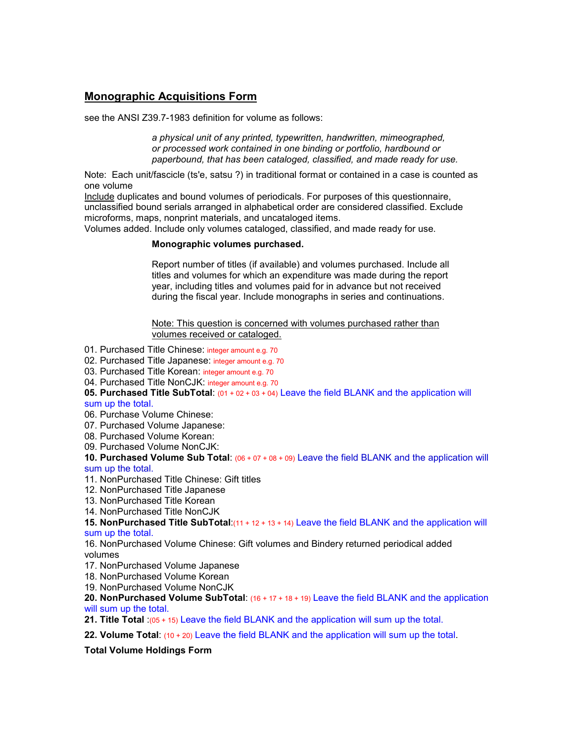# **Monographic Acquisitions Form**

see the ANSI Z39.7-1983 definition for volume as follows:

*a physical unit of any printed, typewritten, handwritten, mimeographed, or processed work contained in one binding or portfolio, hardbound or paperbound, that has been cataloged, classified, and made ready for use.*

Note: Each unit/fascicle (ts'e, satsu ?) in traditional format or contained in a case is counted as one volume

Include duplicates and bound volumes of periodicals. For purposes of this questionnaire, unclassified bound serials arranged in alphabetical order are considered classified. Exclude microforms, maps, nonprint materials, and uncataloged items.

Volumes added. Include only volumes cataloged, classified, and made ready for use.

#### **Monographic volumes purchased.**

Report number of titles (if available) and volumes purchased. Include all titles and volumes for which an expenditure was made during the report year, including titles and volumes paid for in advance but not received during the fiscal year. Include monographs in series and continuations.

Note: This question is concerned with volumes purchased rather than volumes received or cataloged.

- 01. Purchased Title Chinese: integer amount e.g. 70
- 02. Purchased Title Japanese: integer amount e.g. 70
- 03. Purchased Title Korean: integer amount e.g. 70
- 04. Purchased Title NonCJK: integer amount e.g. 70

**05. Purchased Title SubTotal**: (01 + 02 + 03 + 04) Leave the field BLANK and the application will sum up the total.

- 06. Purchase Volume Chinese:
- 07. Purchased Volume Japanese:
- 08. Purchased Volume Korean:
- 09. Purchased Volume NonCJK:

**10. Purchased Volume Sub Total**: (06 + 07 + 08 + 09) Leave the field BLANK and the application will sum up the total.

- 11. NonPurchased Title Chinese: Gift titles
- 12. NonPurchased Title Japanese
- 13. NonPurchased Title Korean
- 14. NonPurchased Title NonCJK

**15. NonPurchased Title SubTotal**:(11 + 12 + 13 + 14) Leave the field BLANK and the application will sum up the total.

16. NonPurchased Volume Chinese: Gift volumes and Bindery returned periodical added volumes

- 17. NonPurchased Volume Japanese
- 18. NonPurchased Volume Korean
- 19. NonPurchased Volume NonCJK

**20. NonPurchased Volume SubTotal**: (16 + 17 + 18 + 19) Leave the field BLANK and the application will sum up the total.

**21. Title Total** :(05 + 15) Leave the field BLANK and the application will sum up the total.

**22. Volume Total**: (10 + 20) Leave the field BLANK and the application will sum up the total.

#### **Total Volume Holdings Form**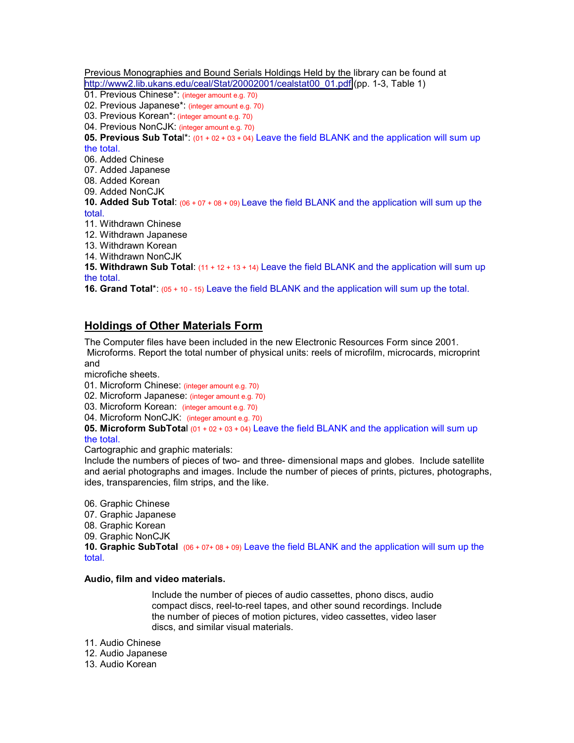Previous Monographies and Bound Serials Holdings Held by the library can be found at [http://www2.lib.ukans.edu/ceal/Stat/20002001/cealstat00\\_01.pdf](http://www2.lib.ukans.edu/ceal/Stat/20002001/cealstat00_01.pdf) (pp. 1-3, Table 1)

- 01. Previous Chinese\*: (integer amount e.g. 70)
- 02. Previous Japanese\*: (integer amount e.g. 70)
- 03. Previous Korean\*: (integer amount e.g. 70)
- 04. Previous NonCJK: (integer amount e.g. 70)

**05. Previous Sub Tota**l\*: (01 + 02 + 03 + 04) Leave the field BLANK and the application will sum up the total.

06. Added Chinese

07. Added Japanese

- 08. Added Korean
- 09. Added NonCJK
- **10. Added Sub Total**: (06 + 07 + 08 + 09) Leave the field BLANK and the application will sum up the total.
- 11. Withdrawn Chinese
- 12. Withdrawn Japanese
- 13. Withdrawn Korean
- 14. Withdrawn NonCJK
- **15. Withdrawn Sub Total**: (11 + 12 + 13 + 14) Leave the field BLANK and the application will sum up the total.

**16. Grand Total**\*: (05 + 10 - 15) Leave the field BLANK and the application will sum up the total.

## **Holdings of Other Materials Form**

The Computer files have been included in the new Electronic Resources Form since 2001. Microforms. Report the total number of physical units: reels of microfilm, microcards, microprint and

microfiche sheets.

- 01. Microform Chinese: (integer amount e.g. 70)
- 02. Microform Japanese: (integer amount e.g. 70)
- 03. Microform Korean: (integer amount e.g. 70)
- 04. Microform NonCJK: (integer amount e.g. 70)
- **05. Microform SubTota**l (01 + 02 + 03 + 04) Leave the field BLANK and the application will sum up

### the total.

Cartographic and graphic materials:

Include the numbers of pieces of two- and three- dimensional maps and globes. Include satellite and aerial photographs and images. Include the number of pieces of prints, pictures, photographs, ides, transparencies, film strips, and the like.

- 06. Graphic Chinese
- 07. Graphic Japanese
- 08. Graphic Korean
- 09. Graphic NonCJK

**10. Graphic SubTotal** (06 + 07+ 08 + 09) Leave the field BLANK and the application will sum up the total.

#### **Audio, film and video materials.**

Include the number of pieces of audio cassettes, phono discs, audio compact discs, reel-to-reel tapes, and other sound recordings. Include the number of pieces of motion pictures, video cassettes, video laser discs, and similar visual materials.

- 11. Audio Chinese
- 12. Audio Japanese
- 13. Audio Korean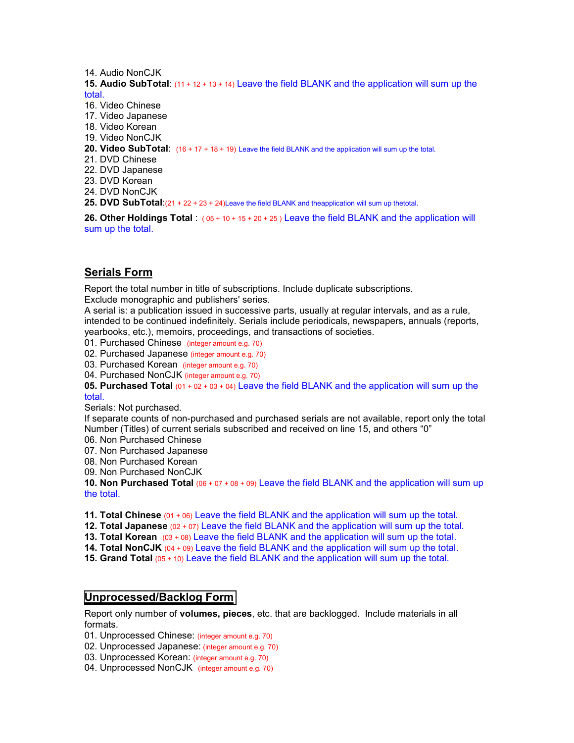14 Audio NonCJK

**15. Audio SubTotal**: (11 + 12 + 13 + 14) Leave the field BLANK and the application will sum up the total.

16. Video Chinese

17. Video Japanese

18. Video Korean

19. Video NonCJK

**20. Video SubTotal**: (16 + 17 + 18 + 19) Leave the field BLANK and the application will sum up the total.

21. DVD Chinese

22. DVD Japanese

23. DVD Korean

24. DVD NonCJK

25. DVD SubTotal:(21 + 22 + 23 + 24)Leave the field BLANK and theapplication will sum up thetotal.

**26. Other Holdings Total** : ( 05 + 10 + 15 + 20 + 25 ) Leave the field BLANK and the application will sum up the total.

## **Serials Form**

Report the total number in title of subscriptions. Include duplicate subscriptions.

Exclude monographic and publishers' series.

A serial is: a publication issued in successive parts, usually at regular intervals, and as a rule, intended to be continued indefinitely. Serials include periodicals, newspapers, annuals (reports, yearbooks, etc.), memoirs, proceedings, and transactions of societies.

01. Purchased Chinese (integer amount e.g. 70)

02. Purchased Japanese (integer amount e.g. 70)

03. Purchased Korean (integer amount e.g. 70)

04. Purchased NonCJK (integer amount e.g. 70)

**05. Purchased Total** (01 + 02 + 03 + 04) Leave the field BLANK and the application will sum up the total.

Serials: Not purchased.

If separate counts of non-purchased and purchased serials are not available, report only the total Number (Titles) of current serials subscribed and received on line 15, and others "0"

06. Non Purchased Chinese

07. Non Purchased Japanese

08. Non Purchased Korean

09. Non Purchased NonCJK

**10. Non Purchased Total** (06 + 07 + 08 + 09) Leave the field BLANK and the application will sum up the total.

**11. Total Chinese** (01 + 06) Leave the field BLANK and the application will sum up the total.

**12. Total Japanese** (02 + 07) Leave the field BLANK and the application will sum up the total.

**13. Total Korean** (03 + 08) Leave the field BLANK and the application will sum up the total.

**14. Total NonCJK** (04 + 09) Leave the field BLANK and the application will sum up the total.

**15. Grand Total** (05 + 10) Leave the field BLANK and the application will sum up the total.

## **[Unprocessed/Backlog Form](http://www2.lib.ukans.edu/ceal/stat/20012002/#_Unprocessed/Backlog_Form)**

Report only number of **volumes, pieces**, etc. that are backlogged. Include materials in all formats.

01. Unprocessed Chinese: (integer amount e.g. 70)

02. Unprocessed Japanese: (integer amount e.g. 70)

03. Unprocessed Korean: (integer amount e.g. 70)

04. Unprocessed NonCJK (integer amount e.g. 70)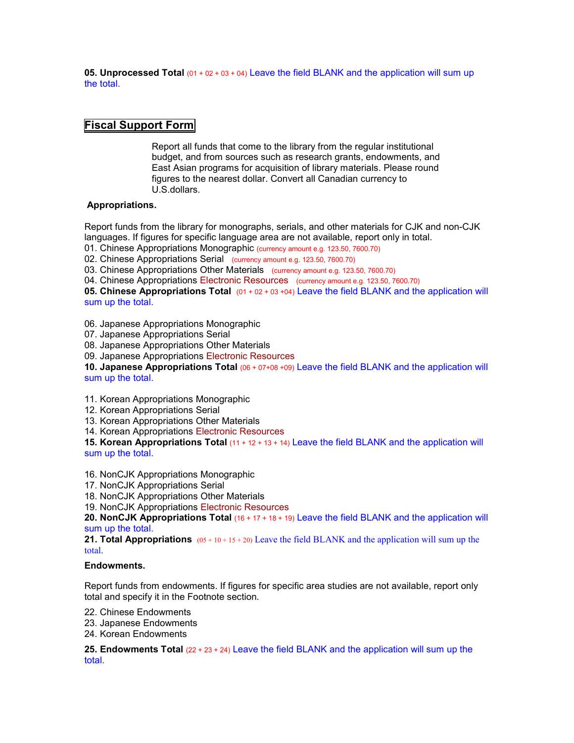**05. Unprocessed Total** (01 + 02 + 03 + 04) Leave the field BLANK and the application will sum up the total.

## **[Fiscal Support Form](http://www2.lib.ukans.edu/ceal/stat/20012002/#_Fiscal_Support_Form)**

Report all funds that come to the library from the regular institutional budget, and from sources such as research grants, endowments, and East Asian programs for acquisition of library materials. Please round figures to the nearest dollar. Convert all Canadian currency to U.S.dollars.

### **Appropriations.**

Report funds from the library for monographs, serials, and other materials for CJK and non-CJK languages. If figures for specific language area are not available, report only in total.

01. Chinese Appropriations Monographic (currency amount e.g. 123.50, 7600.70)

02. Chinese Appropriations Serial (currency amount e.g. 123.50, 7600.70)

03. Chinese Appropriations Other Materials (currency amount e.g. 123.50, 7600.70)

04. Chinese Appropriations Electronic Resources (currency amount e.g. 123.50, 7600.70)

**05. Chinese Appropriations Total** (01 + 02 + 03 +04) Leave the field BLANK and the application will sum up the total.

06. Japanese Appropriations Monographic

07. Japanese Appropriations Serial

08. Japanese Appropriations Other Materials

09. Japanese Appropriations Electronic Resources

**10. Japanese Appropriations Total** (06 + 07+08 +09) Leave the field BLANK and the application will sum up the total.

11. Korean Appropriations Monographic

12. Korean Appropriations Serial

13. Korean Appropriations Other Materials

14. Korean Appropriations Electronic Resources

**15. Korean Appropriations Total** (11 + 12 + 13 + 14) Leave the field BLANK and the application will sum up the total.

16. NonCJK Appropriations Monographic

17. NonCJK Appropriations Serial

18. NonCJK Appropriations Other Materials

19. NonCJK Appropriations Electronic Resources

**20. NonCJK Appropriations Total** (16 + 17 + 18 + 19) Leave the field BLANK and the application will sum up the total.

**21. Total Appropriations** ( $0.6 + 10 + 15 + 20$ ) Leave the field BLANK and the application will sum up the total.

#### **Endowments.**

Report funds from endowments. If figures for specific area studies are not available, report only total and specify it in the Footnote section.

22. Chinese Endowments

23. Japanese Endowments

24. Korean Endowments

**25. Endowments Total** (22 + 23 + 24) Leave the field BLANK and the application will sum up the total.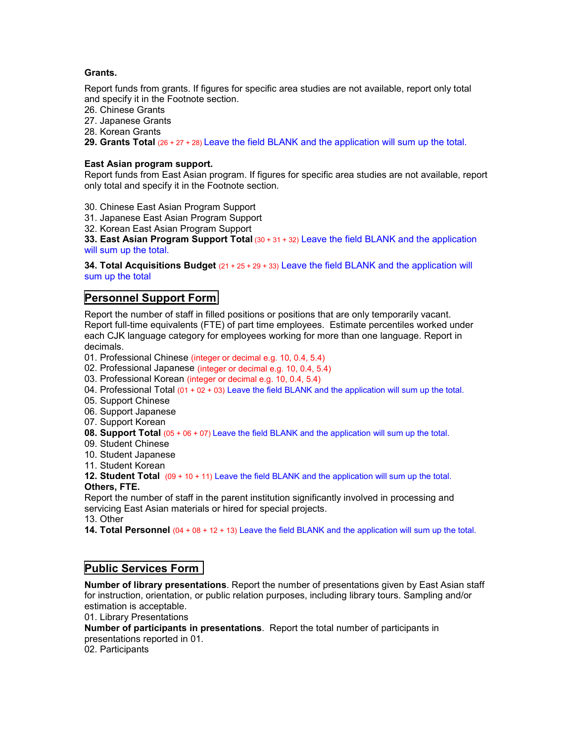### **Grants.**

Report funds from grants. If figures for specific area studies are not available, report only total and specify it in the Footnote section.

26. Chinese Grants

27. Japanese Grants

28. Korean Grants

**29. Grants Total** (26 + 27 + 28) Leave the field BLANK and the application will sum up the total.

### **East Asian program support.**

Report funds from East Asian program. If figures for specific area studies are not available, report only total and specify it in the Footnote section.

30. Chinese East Asian Program Support

31. Japanese East Asian Program Support

32. Korean East Asian Program Support

**33. East Asian Program Support Total** (30 + 31 + 32) Leave the field BLANK and the application will sum up the total.

**34. Total Acquisitions Budget** (21 + 25 + 29 + 33) Leave the field BLANK and the application will sum up the total

## **[Personnel Support Form](http://www2.lib.ukans.edu/ceal/stat/20012002/#_Personnel_Support_Form)**

Report the number of staff in filled positions or positions that are only temporarily vacant. Report full-time equivalents (FTE) of part time employees. Estimate percentiles worked under each CJK language category for employees working for more than one language. Report in decimals.

01. Professional Chinese (integer or decimal e.g. 10, 0.4, 5.4)

02. Professional Japanese (integer or decimal e.g. 10, 0.4, 5.4)

03. Professional Korean (integer or decimal e.g. 10, 0.4, 5.4)

- 04. Professional Total (01 + 02 + 03) Leave the field BLANK and the application will sum up the total.
- 05. Support Chinese

06. Support Japanese

- 07. Support Korean
- **08. Support Total** (05 + 06 + 07) Leave the field BLANK and the application will sum up the total.
- 09. Student Chinese
- 10. Student Japanese

11. Student Korean

**12. Student Total** (09 + 10 + 11) Leave the field BLANK and the application will sum up the total.

**Others, FTE.** 

Report the number of staff in the parent institution significantly involved in processing and servicing East Asian materials or hired for special projects.

13. Other

**14. Total Personnel** (04 + 08 + 12 + 13) Leave the field BLANK and the application will sum up the total.

## **[Public Services Form](http://www2.lib.ukans.edu/ceal/stat/20012002/#_Public_Services_Form)**

**Number of library presentations**. Report the number of presentations given by East Asian staff for instruction, orientation, or public relation purposes, including library tours. Sampling and/or estimation is acceptable.

01. Library Presentations

**Number of participants in presentations**. Report the total number of participants in presentations reported in 01.

02. Participants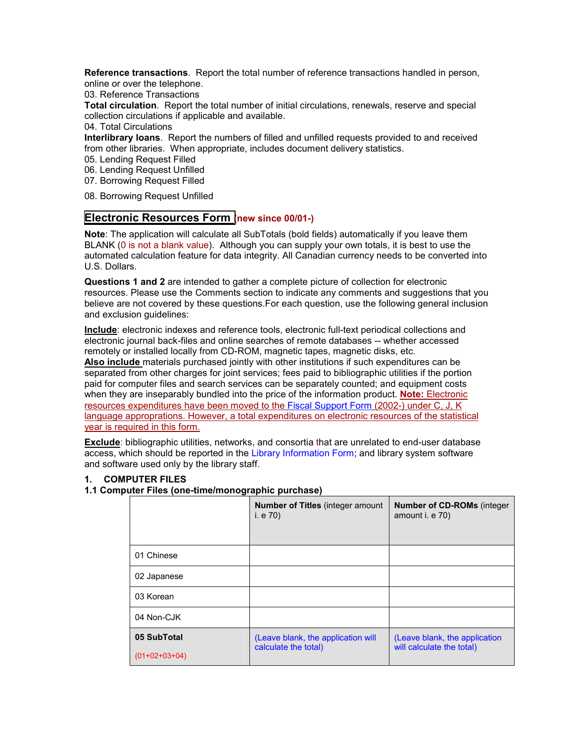**Reference transactions**. Report the total number of reference transactions handled in person, online or over the telephone.

03. Reference Transactions

**Total circulation**. Report the total number of initial circulations, renewals, reserve and special collection circulations if applicable and available.

04. Total Circulations

**Interlibrary loans**. Report the numbers of filled and unfilled requests provided to and received from other libraries. When appropriate, includes document delivery statistics.

05. Lending Request Filled

- 06. Lending Request Unfilled
- 07. Borrowing Request Filled
- 08. Borrowing Request Unfilled

## **[Electronic Resources Form \(](http://www2.lib.ukans.edu/ceal/stat/20012002/#_Electronic_Resources_Form)new since 00/01-)**

**Note**: The application will calculate all SubTotals (bold fields) automatically if you leave them BLANK (0 is not a blank value). Although you can supply your own totals, it is best to use the automated calculation feature for data integrity. All Canadian currency needs to be converted into U.S. Dollars.

**Questions 1 and 2** are intended to gather a complete picture of collection for electronic resources. Please use the Comments section to indicate any comments and suggestions that you believe are not covered by these questions.For each question, use the following general inclusion and exclusion guidelines:

**Include**: electronic indexes and reference tools, electronic full-text periodical collections and electronic journal back-files and online searches of remote databases -- whether accessed remotely or installed locally from CD-ROM, magnetic tapes, magnetic disks, etc.

**Also include** materials purchased jointly with other institutions if such expenditures can be separated from other charges for joint services; fees paid to bibliographic utilities if the portion paid for computer files and search services can be separately counted; and equipment costs when they are inseparably bundled into the price of the information product. **Note:** Electronic resources expenditures have been moved to the Fiscal Support Form (2002-) under C, J, K language approprations. However, a total expenditures on electronic resources of the statistical year is required in this form.

**Exclude**: bibliographic utilities, networks, and consortia that are unrelated to end-user database access, which should be reported in the Library Information Form; and library system software and software used only by the library staff.

#### **1. COMPUTER FILES**

#### **1.1 Computer Files (one-time/monographic purchase)**

|                 | <b>Number of Titles (integer amount)</b><br>i. e 70)       | <b>Number of CD-ROMs (integer)</b><br>amount i. e 70)      |
|-----------------|------------------------------------------------------------|------------------------------------------------------------|
| 01 Chinese      |                                                            |                                                            |
| 02 Japanese     |                                                            |                                                            |
| 03 Korean       |                                                            |                                                            |
| 04 Non-CJK      |                                                            |                                                            |
| 05 SubTotal     | (Leave blank, the application will<br>calculate the total) | (Leave blank, the application<br>will calculate the total) |
| $(01+02+03+04)$ |                                                            |                                                            |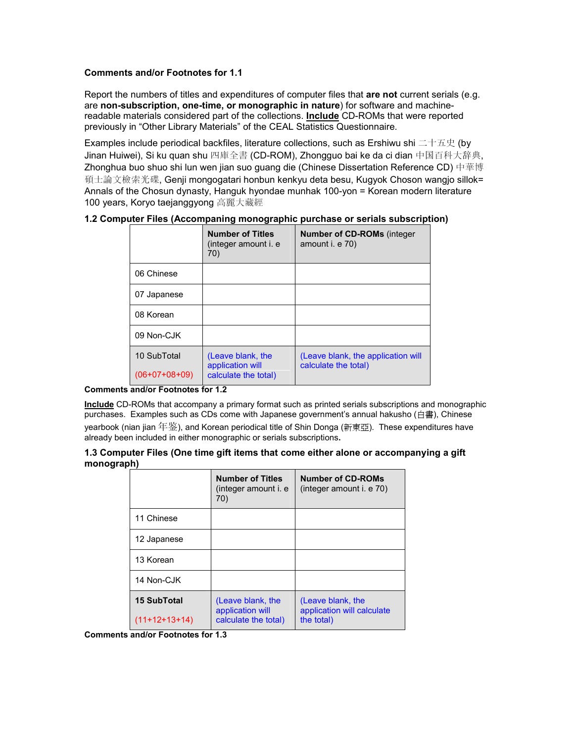### **Comments and/or Footnotes for 1.1**

Report the numbers of titles and expenditures of computer files that **are not** current serials (e.g. are **non-subscription, one-time, or monographic in nature**) for software and machinereadable materials considered part of the collections. **Include** CD-ROMs that were reported previously in "Other Library Materials" of the CEAL Statistics Questionnaire.

Examples include periodical backfiles, literature collections, such as Ershiwu shi 二十五史 (by Jinan Huiwei), Si ku quan shu 四庫全書 (CD-ROM), Zhongguo bai ke da ci dian 中国百科大辞典, Zhonghua buo shuo shi lun wen jian suo guang die (Chinese Dissertation Reference CD) 中華博 碩士論文檢索光碟, Genji mongogatari honbun kenkyu deta besu, Kugyok Choson wangjo sillok= Annals of the Chosun dynasty, Hanguk hyondae munhak 100-yon = Korean modern literature 100 years, Koryo taejanggyong 高麗大藏經

|                 | <b>Number of Titles</b><br>(integer amount i. e<br>70) | <b>Number of CD-ROMs (integer)</b><br>amount i. e 70)      |
|-----------------|--------------------------------------------------------|------------------------------------------------------------|
| 06 Chinese      |                                                        |                                                            |
| 07 Japanese     |                                                        |                                                            |
| 08 Korean       |                                                        |                                                            |
| 09 Non-CJK      |                                                        |                                                            |
| 10 SubTotal     | (Leave blank, the<br>application will                  | (Leave blank, the application will<br>calculate the total) |
| $(06+07+08+09)$ | calculate the total)                                   |                                                            |

**1.2 Computer Files (Accompaning monographic purchase or serials subscription)** 

#### **Comments and/or Footnotes for 1.2**

**Include** CD-ROMs that accompany a primary format such as printed serials subscriptions and monographic purchases. Examples such as CDs come with Japanese government's annual hakusho (白書), Chinese yearbook (nian jian 年鉴), and Korean periodical title of Shin Donga (新東亞). These expenditures have already been included in either monographic or serials subscriptions**.** 

#### **1.3 Computer Files (One time gift items that come either alone or accompanying a gift monograph)**

|                    | <b>Number of Titles</b><br>(integer amount i. e<br>70) | <b>Number of CD-ROMs</b><br>(integer amount i. e 70) |
|--------------------|--------------------------------------------------------|------------------------------------------------------|
| 11 Chinese         |                                                        |                                                      |
| 12 Japanese        |                                                        |                                                      |
| 13 Korean          |                                                        |                                                      |
| 14 Non-C.JK        |                                                        |                                                      |
| <b>15 SubTotal</b> | (Leave blank, the<br>application will                  | (Leave blank, the<br>application will calculate      |
| $(11+12+13+14)$    | calculate the total)                                   | the total)                                           |

**Comments and/or Footnotes for 1.3**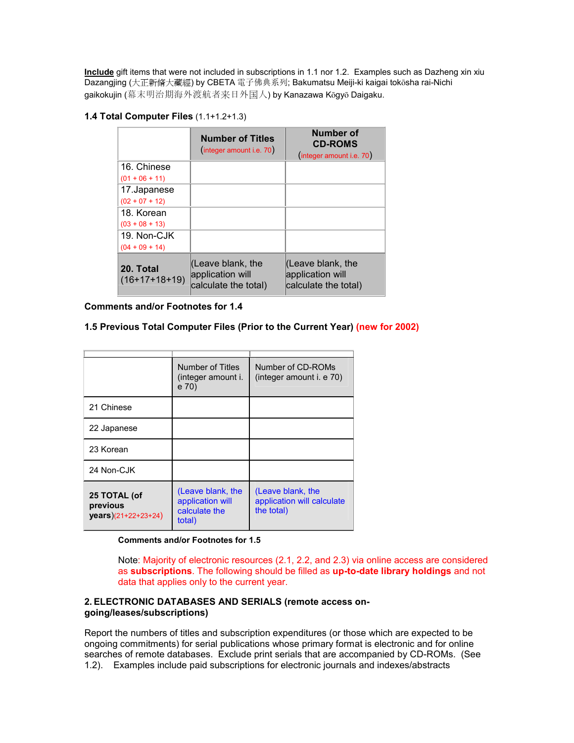**Include** gift items that were not included in subscriptions in 1.1 nor 1.2. Examples such as Dazheng xin xiu Dazangjing (大正新脩大藏經) by CBETA 電子佛典系列; Bakumatsu Meiji-ki kaigai toksha rai-Nichi qaikokujin (幕末明治期海外渡航者来日外国人) by Kanazawa Kōqyō Daiqaku.

### **1.4 Total Computer Files** (1.1+1.2+1.3)

|                              | <b>Number of Titles</b><br>(integer amount i.e. 70)               | <b>Number of</b><br><b>CD-ROMS</b><br>(integer amount i.e. 70) |
|------------------------------|-------------------------------------------------------------------|----------------------------------------------------------------|
| 16. Chinese                  |                                                                   |                                                                |
| $(01 + 06 + 11)$             |                                                                   |                                                                |
| 17.Japanese                  |                                                                   |                                                                |
| $(02 + 07 + 12)$             |                                                                   |                                                                |
| 18. Korean                   |                                                                   |                                                                |
| $(03 + 08 + 13)$             |                                                                   |                                                                |
| 19. Non-CJK                  |                                                                   |                                                                |
| $(04 + 09 + 14)$             |                                                                   |                                                                |
| 20. Total<br>$(16+17+18+19)$ | $ $ (Leave blank, the<br>application will<br>calculate the total) | (Leave blank, the<br>application will<br>calculate the total)  |

**Comments and/or Footnotes for 1.4**

### **1.5 Previous Total Computer Files (Prior to the Current Year) (new for 2002)**

|                                                 | Number of Titles<br>(integer amount i.<br>e 70)                  | Number of CD-ROMs<br>(integer amount i. e 70)                 |
|-------------------------------------------------|------------------------------------------------------------------|---------------------------------------------------------------|
| 21 Chinese                                      |                                                                  |                                                               |
| 22 Japanese                                     |                                                                  |                                                               |
| 23 Korean                                       |                                                                  |                                                               |
| 24 Non-CJK                                      |                                                                  |                                                               |
| 25 TOTAL (of<br>previous<br>years)(21+22+23+24) | (Leave blank, the<br>application will<br>calculate the<br>total) | (Leave blank, the<br>application will calculate<br>the total) |

**Comments and/or Footnotes for 1.5** 

Note: Majority of electronic resources (2.1, 2.2, and 2.3) via online access are considered as **subscriptions**. The following should be filled as **up-to-date library holdings** and not data that applies only to the current year.

#### **2. ELECTRONIC DATABASES AND SERIALS (remote access ongoing/leases/subscriptions)**

Report the numbers of titles and subscription expenditures (or those which are expected to be ongoing commitments) for serial publications whose primary format is electronic and for online searches of remote databases. Exclude print serials that are accompanied by CD-ROMs. (See 1.2). Examples include paid subscriptions for electronic journals and indexes/abstracts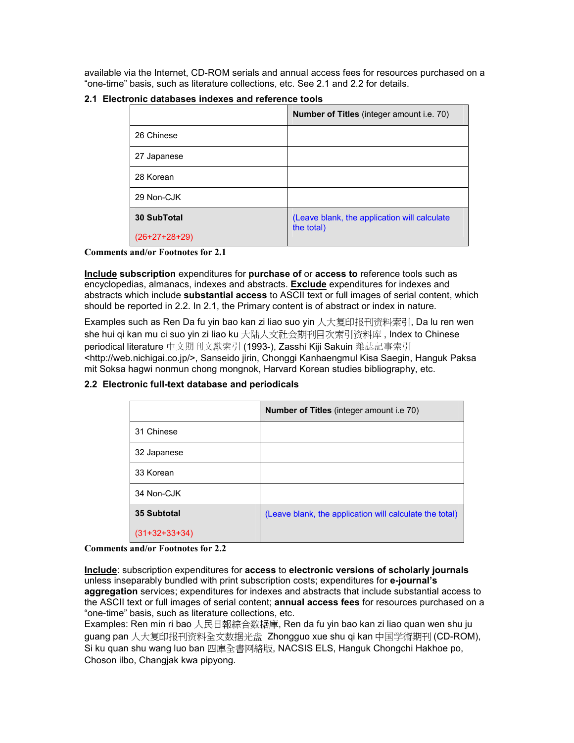available via the Internet, CD-ROM serials and annual access fees for resources purchased on a "one-time" basis, such as literature collections, etc. See 2.1 and 2.2 for details.

|                 | <b>Number of Titles</b> (integer amount i.e. 70) |
|-----------------|--------------------------------------------------|
| 26 Chinese      |                                                  |
| 27 Japanese     |                                                  |
| 28 Korean       |                                                  |
| 29 Non-CJK      |                                                  |
| 30 SubTotal     | (Leave blank, the application will calculate     |
| $(26+27+28+29)$ | the total)                                       |

### **2.1 Electronic databases indexes and reference tools**

#### **Comments and/or Footnotes for 2.1**

**Include subscription** expenditures for **purchase of** or **access to** reference tools such as encyclopedias, almanacs, indexes and abstracts. **Exclude** expenditures for indexes and abstracts which include **substantial access** to ASCII text or full images of serial content, which should be reported in 2.2. In 2.1, the Primary content is of abstract or index in nature.

Examples such as Ren Da fu yin bao kan zi liao suo yin 人大复印报刊资料索引, Da lu ren wen she hui qi kan mu ci suo yin zi liao ku 大陆人文社会期刊目次索引资料库 , Index to Chinese periodical literature 中文期刊文獻索引 (1993-), Zasshi Kiji Sakuin 雜誌記事索引 <http://web.nichigai.co.jp/>, Sanseido jirin, Chonggi Kanhaengmul Kisa Saegin, Hanguk Paksa mit Soksa hagwi nonmun chong mongnok, Harvard Korean studies bibliography, etc.

|                 | <b>Number of Titles</b> (integer amount i.e 70)         |
|-----------------|---------------------------------------------------------|
| 31 Chinese      |                                                         |
| 32 Japanese     |                                                         |
| 33 Korean       |                                                         |
| 34 Non-CJK      |                                                         |
| 35 Subtotal     | (Leave blank, the application will calculate the total) |
| $(31+32+33+34)$ |                                                         |

### **2.2 Electronic full-text database and periodicals**

#### **Comments and/or Footnotes for 2.2**

**Include**: subscription expenditures for **access** to **electronic versions of scholarly journals**  unless inseparably bundled with print subscription costs; expenditures for **e-journal's aggregation** services; expenditures for indexes and abstracts that include substantial access to the ASCII text or full images of serial content; **annual access fees** for resources purchased on a "one-time" basis, such as literature collections, etc.

Examples: Ren min ri bao 人民日報綜合数据庫, Ren da fu yin bao kan zi liao quan wen shu ju guang pan 人大复印报刊资料全文数据光盘 Zhongguo xue shu qi kan 中国学術期刊 (CD-ROM), Si ku quan shu wang luo ban 四庫全書网絡版, NACSIS ELS, Hanguk Chongchi Hakhoe po, Choson ilbo, Changjak kwa pipyong.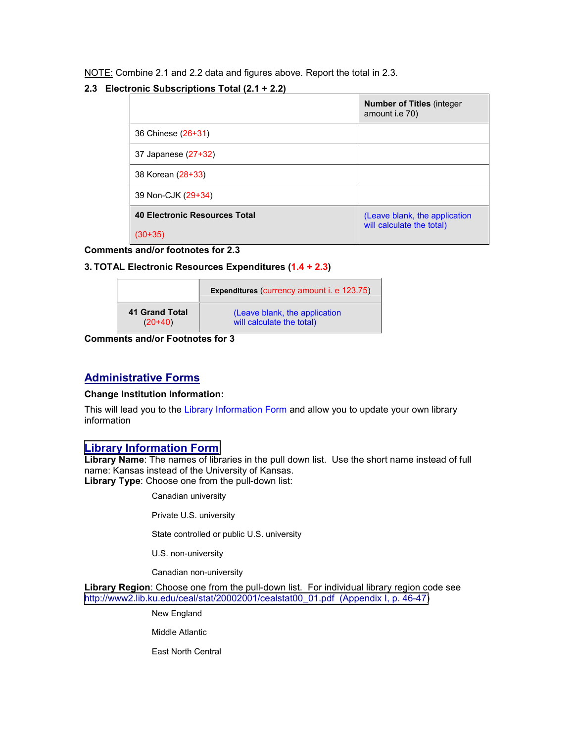NOTE: Combine 2.1 and 2.2 data and figures above. Report the total in 2.3.

### **2.3 Electronic Subscriptions Total (2.1 + 2.2)**

|                                      | <b>Number of Titles (integer)</b><br>amount i.e 70)        |
|--------------------------------------|------------------------------------------------------------|
| 36 Chinese (26+31)                   |                                                            |
| 37 Japanese (27+32)                  |                                                            |
| 38 Korean (28+33)                    |                                                            |
| 39 Non-CJK (29+34)                   |                                                            |
| <b>40 Electronic Resources Total</b> | (Leave blank, the application<br>will calculate the total) |
| (30+35)                              |                                                            |

**Comments and/or footnotes for 2.3**

### **3. TOTAL Electronic Resources Expenditures (1.4 + 2.3)**

|                       | <b>Expenditures (currency amount i. e 123.75)</b> |
|-----------------------|---------------------------------------------------|
| <b>41 Grand Total</b> | (Leave blank, the application                     |
| $(20+40)$             | will calculate the total)                         |

**Comments and/or Footnotes for 3**

## **Administrative Forms**

#### **Change Institution Information:**

This will lead you to the Library Information Form and allow you to update your own library information

## **[Library Information Form](http://www2.lib.ukans.edu/ceal/stat/20012002/#_Library_Information_Form)**

**Library Name**: The names of libraries in the pull down list. Use the short name instead of full name: Kansas instead of the University of Kansas. **Library Type**: Choose one from the pull-down list:

Canadian university

Private U.S. university

State controlled or public U.S. university

U.S. non-university

Canadian non-university

**Library Region**: Choose one from the pull-down list. For individual library region code see [http://www2.lib.ku.edu/ceal/stat/20002001/cealstat00\\_01.pdf \(Appendix I, p. 46-47\)](http://www2.lib.ukans.edu/ceal/stat/19992000/library_list99_00.pdf)

New England

Middle Atlantic

East North Central